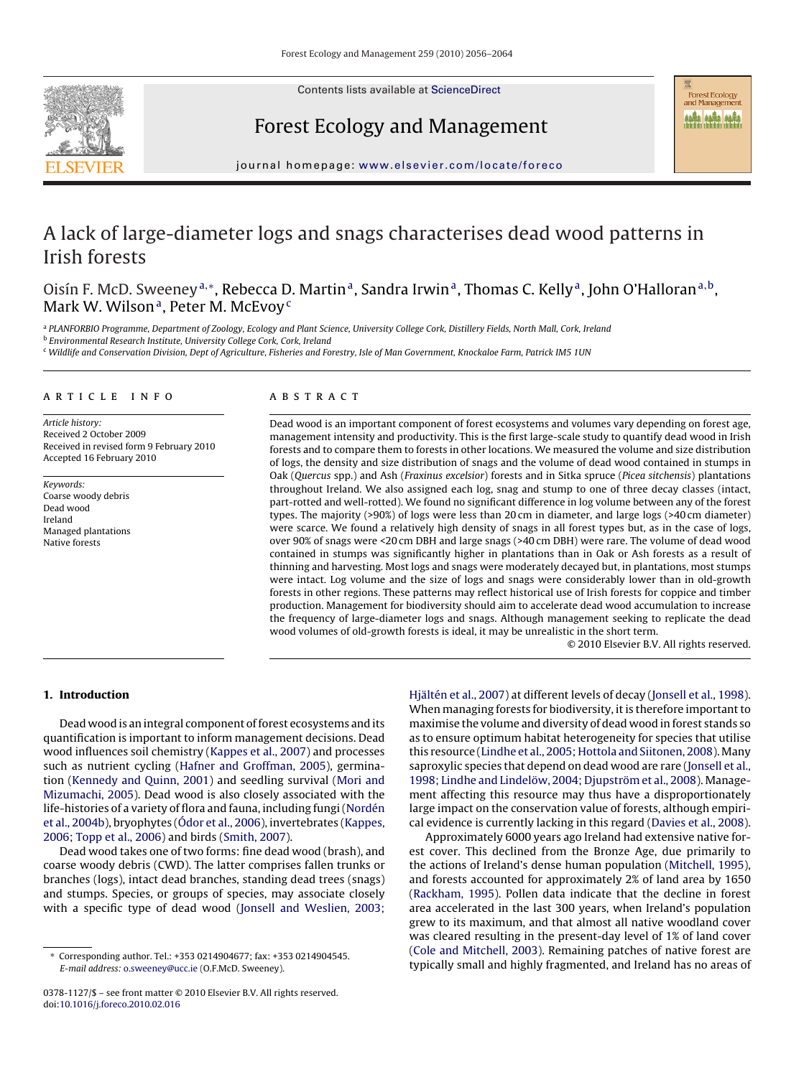Contents lists available at [ScienceDirect](http://www.sciencedirect.com/science/journal/03781127)



**Forest Ecology** and Management **MA MA MA** 

# Forest Ecology and Management

journal homepage: [www.elsevier.com/locate/foreco](http://www.elsevier.com/locate/foreco)

# A lack of large-diameter logs and snags characterises dead wood patterns in Irish forests

Oisín F. McD. Sweeney<sup>a,∗</sup>, Rebecca D. Martin<sup>a</sup>, Sandra Irwin<sup>a</sup>, Thomas C. Kelly<sup>a</sup>, John O'Halloran<sup>a, b</sup>, Mark W. Wilson<sup>a</sup>, Peter M. McEvoy<sup>c</sup>

a PLANFORBIO Programme, Department of Zoology, Ecology and Plant Science, University College Cork, Distillery Fields, North Mall, Cork, Ireland

**b Environmental Research Institute, University College Cork, Cork, Ireland** 

<sup>c</sup> Wildlife and Conservation Division, Dept of Agriculture, Fisheries and Forestry, Isle of Man Government, Knockaloe Farm, Patrick IM5 1UN

# article info

Article history: Received 2 October 2009 Received in revised form 9 February 2010 Accepted 16 February 2010

Keywords: Coarse woody debris Dead wood Ireland Managed plantations Native forests

# abstract

Dead wood is an important component of forest ecosystems and volumes vary depending on forest age, management intensity and productivity. This is the first large-scale study to quantify dead wood in Irish forests and to compare them to forests in other locations. We measured the volume and size distribution of logs, the density and size distribution of snags and the volume of dead wood contained in stumps in Oak (Quercus spp.) and Ash (Fraxinus excelsior) forests and in Sitka spruce (Picea sitchensis) plantations throughout Ireland. We also assigned each log, snag and stump to one of three decay classes (intact, part-rotted and well-rotted). We found no significant difference in log volume between any of the forest types. The majority (>90%) of logs were less than 20 cm in diameter, and large logs (>40 cm diameter) were scarce. We found a relatively high density of snags in all forest types but, as in the case of logs, over 90% of snags were <20 cm DBH and large snags (>40 cm DBH) were rare. The volume of dead wood contained in stumps was significantly higher in plantations than in Oak or Ash forests as a result of thinning and harvesting. Most logs and snags were moderately decayed but, in plantations, most stumps were intact. Log volume and the size of logs and snags were considerably lower than in old-growth forests in other regions. These patterns may reflect historical use of Irish forests for coppice and timber production. Management for biodiversity should aim to accelerate dead wood accumulation to increase the frequency of large-diameter logs and snags. Although management seeking to replicate the dead wood volumes of old-growth forests is ideal, it may be unrealistic in the short term.

© 2010 Elsevier B.V. All rights reserved.

# **1. Introduction**

Dead wood is an integral component of forest ecosystems and its quantification is important to inform management decisions. Dead wood influences soil chemistry ([Kappes et al., 2007\)](#page-7-0) and processes such as nutrient cycling [\(Hafner and Groffman, 2005\),](#page-7-0) germination [\(Kennedy and Quinn, 2001\)](#page-7-0) and seedling survival [\(Mori and](#page-7-0) [Mizumachi, 2005\).](#page-7-0) Dead wood is also closely associated with the life-histories of a variety of flora and fauna, including fungi ([Nordén](#page-7-0) [et al., 2004b\),](#page-7-0) bryophytes [\(Ódor et al., 2006\),](#page-7-0) invertebrates ([Kappes,](#page-7-0) [2006; Topp et al., 2006\) a](#page-7-0)nd birds ([Smith, 2007\).](#page-8-0)

Dead wood takes one of two forms: fine dead wood (brash), and coarse woody debris (CWD). The latter comprises fallen trunks or branches (logs), intact dead branches, standing dead trees (snags) and stumps. Species, or groups of species, may associate closely with a specific type of dead wood [\(Jonsell and Weslien, 2003;](#page-7-0)

[Hjältén et al., 2007\) a](#page-7-0)t different levels of decay [\(Jonsell et al., 1998\).](#page-7-0) When managing forests for biodiversity, it is therefore important to maximise the volume and diversity of dead wood in forest stands so as to ensure optimum habitat heterogeneity for species that utilise this resource [\(Lindhe et al., 2005; Hottola and Siitonen, 2008\).](#page-7-0) Many saproxylic species that depend on dead wood are rare [\(Jonsell et al.,](#page-7-0) [1998; Lindhe and Lindelöw, 2004; Djupström et al., 2008\).](#page-7-0) Management affecting this resource may thus have a disproportionately large impact on the conservation value of forests, although empirical evidence is currently lacking in this regard ([Davies et al., 2008\).](#page-7-0)

Approximately 6000 years ago Ireland had extensive native forest cover. This declined from the Bronze Age, due primarily to the actions of Ireland's dense human population ([Mitchell, 1995\),](#page-7-0) and forests accounted for approximately 2% of land area by 1650 [\(Rackham, 1995\).](#page-8-0) Pollen data indicate that the decline in forest area accelerated in the last 300 years, when Ireland's population grew to its maximum, and that almost all native woodland cover was cleared resulting in the present-day level of 1% of land cover [\(Cole and Mitchell, 2003\).](#page-7-0) Remaining patches of native forest are typically small and highly fragmented, and Ireland has no areas of

<sup>∗</sup> Corresponding author. Tel.: +353 0214904677; fax: +353 0214904545. E-mail address: [o.sweeney@ucc.ie](mailto:o.sweeney@ucc.ie) (O.F.McD. Sweeney).

<sup>0378-1127/\$ –</sup> see front matter © 2010 Elsevier B.V. All rights reserved. doi:[10.1016/j.foreco.2010.02.016](dx.doi.org/10.1016/j.foreco.2010.02.016)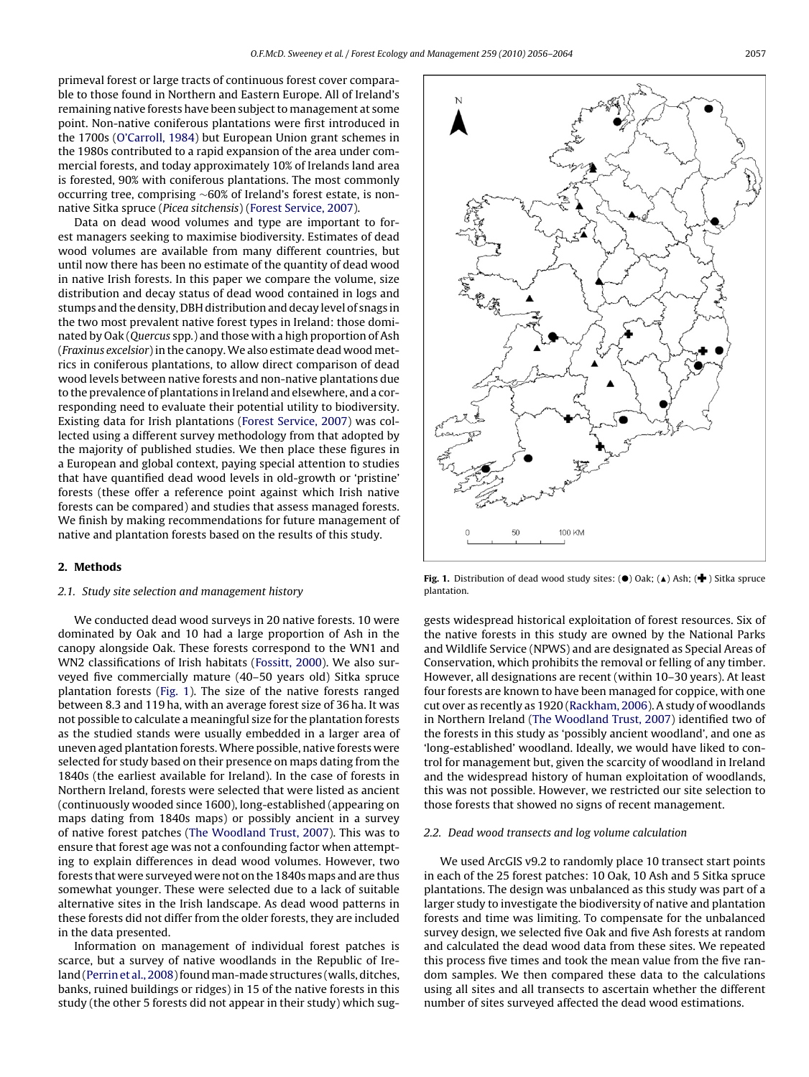primeval forest or large tracts of continuous forest cover comparable to those found in Northern and Eastern Europe. All of Ireland's remaining native forests have been subject to management at some point. Non-native coniferous plantations were first introduced in the 1700s [\(O'Carroll, 1984\)](#page-7-0) but European Union grant schemes in the 1980s contributed to a rapid expansion of the area under commercial forests, and today approximately 10% of Irelands land area is forested, 90% with coniferous plantations. The most commonly occurring tree, comprising ∼60% of Ireland's forest estate, is nonnative Sitka spruce (Picea sitchensis) [\(Forest Service, 2007\).](#page-7-0)

Data on dead wood volumes and type are important to forest managers seeking to maximise biodiversity. Estimates of dead wood volumes are available from many different countries, but until now there has been no estimate of the quantity of dead wood in native Irish forests. In this paper we compare the volume, size distribution and decay status of dead wood contained in logs and stumps and the density, DBH distribution and decay level of snags in the two most prevalent native forest types in Ireland: those dominated by Oak (Quercus spp.) and those with a high proportion of Ash (Fraxinus excelsior) in the canopy.We also estimate dead wood metrics in coniferous plantations, to allow direct comparison of dead wood levels between native forests and non-native plantations due to the prevalence of plantations in Ireland and elsewhere, and a corresponding need to evaluate their potential utility to biodiversity. Existing data for Irish plantations [\(Forest Service, 2007\)](#page-7-0) was collected using a different survey methodology from that adopted by the majority of published studies. We then place these figures in a European and global context, paying special attention to studies that have quantified dead wood levels in old-growth or 'pristine' forests (these offer a reference point against which Irish native forests can be compared) and studies that assess managed forests. We finish by making recommendations for future management of native and plantation forests based on the results of this study.

# **2. Methods**

#### 2.1. Study site selection and management history

We conducted dead wood surveys in 20 native forests. 10 were dominated by Oak and 10 had a large proportion of Ash in the canopy alongside Oak. These forests correspond to the WN1 and WN2 classifications of Irish habitats [\(Fossitt, 2000\).](#page-7-0) We also surveyed five commercially mature (40–50 years old) Sitka spruce plantation forests (Fig. 1). The size of the native forests ranged between 8.3 and 119 ha, with an average forest size of 36 ha. It was not possible to calculate a meaningful size for the plantation forests as the studied stands were usually embedded in a larger area of uneven aged plantation forests.Where possible, native forests were selected for study based on their presence on maps dating from the 1840s (the earliest available for Ireland). In the case of forests in Northern Ireland, forests were selected that were listed as ancient (continuously wooded since 1600), long-established (appearing on maps dating from 1840s maps) or possibly ancient in a survey of native forest patches [\(The Woodland Trust, 2007\).](#page-8-0) This was to ensure that forest age was not a confounding factor when attempting to explain differences in dead wood volumes. However, two forests that were surveyed were not on the 1840s maps and are thus somewhat younger. These were selected due to a lack of suitable alternative sites in the Irish landscape. As dead wood patterns in these forests did not differ from the older forests, they are included in the data presented.

Information on management of individual forest patches is scarce, but a survey of native woodlands in the Republic of Ire-land ([Perrin et al., 2008\) f](#page-8-0)ound man-made structures (walls, ditches, banks, ruined buildings or ridges) in 15 of the native forests in this study (the other 5 forests did not appear in their study) which sug-



**Fig. 1.** Distribution of dead wood study sites: ( $\bullet$ ) Oak; ( $\blacktriangle$ ) Ash; ( $\blacktriangleright$ ) Sitka spruce plantation.

gests widespread historical exploitation of forest resources. Six of the native forests in this study are owned by the National Parks and Wildlife Service (NPWS) and are designated as Special Areas of Conservation, which prohibits the removal or felling of any timber. However, all designations are recent (within 10–30 years). At least four forests are known to have been managed for coppice, with one cut over as recently as 1920 [\(Rackham, 2006\).](#page-8-0) A study of woodlands in Northern Ireland [\(The Woodland Trust, 2007\)](#page-8-0) identified two of the forests in this study as 'possibly ancient woodland', and one as 'long-established' woodland. Ideally, we would have liked to control for management but, given the scarcity of woodland in Ireland and the widespread history of human exploitation of woodlands, this was not possible. However, we restricted our site selection to those forests that showed no signs of recent management.

# 2.2. Dead wood transects and log volume calculation

We used ArcGIS v9.2 to randomly place 10 transect start points in each of the 25 forest patches: 10 Oak, 10 Ash and 5 Sitka spruce plantations. The design was unbalanced as this study was part of a larger study to investigate the biodiversity of native and plantation forests and time was limiting. To compensate for the unbalanced survey design, we selected five Oak and five Ash forests at random and calculated the dead wood data from these sites. We repeated this process five times and took the mean value from the five random samples. We then compared these data to the calculations using all sites and all transects to ascertain whether the different number of sites surveyed affected the dead wood estimations.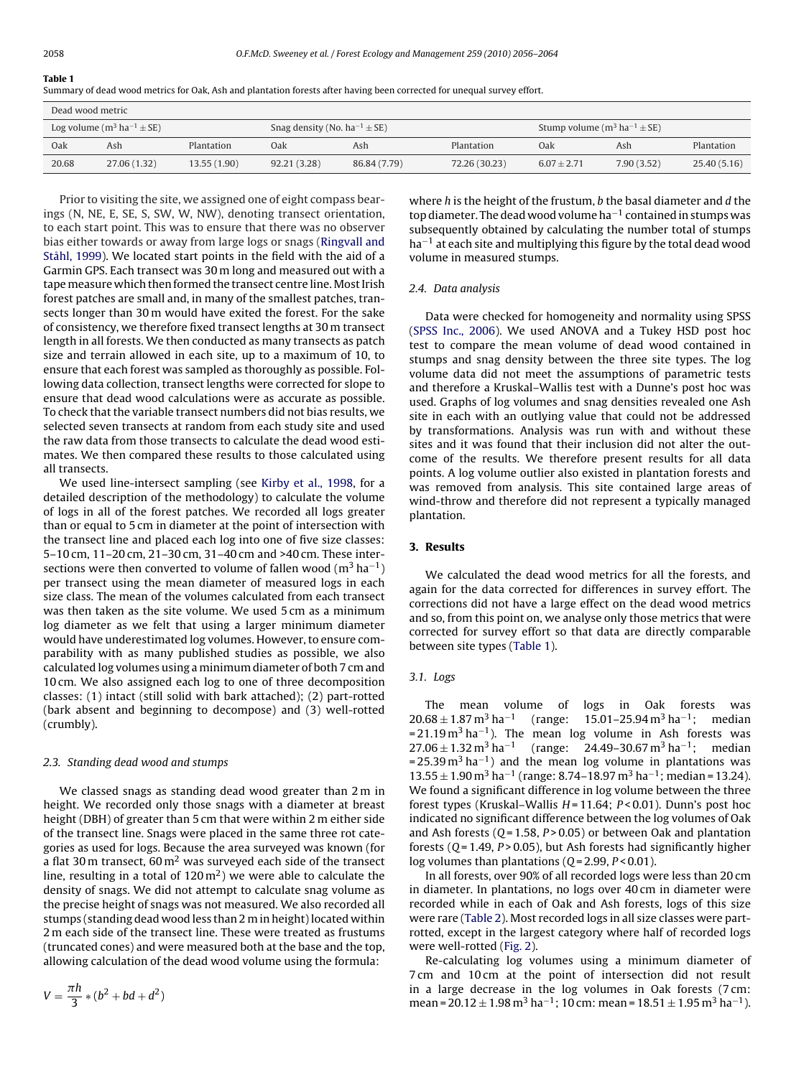# **Table 1**

|  | Summary of dead wood metrics for Oak, Ash and plantation forests after having been corrected for unequal survey effort. |  |
|--|-------------------------------------------------------------------------------------------------------------------------|--|
|  |                                                                                                                         |  |

| Dead wood metric |                                               |              |                                                                                         |              |               |                 |            |             |
|------------------|-----------------------------------------------|--------------|-----------------------------------------------------------------------------------------|--------------|---------------|-----------------|------------|-------------|
|                  | Log volume ( $m^3$ ha <sup>-1</sup> $\pm$ SE) |              | Stump volume ( $m^3$ ha <sup>-1</sup> $\pm$ SE)<br>Snag density (No. $ha^{-1} \pm SE$ ) |              |               |                 |            |             |
| Oak              | Ash                                           | Plantation   | Oak                                                                                     | Ash          | Plantation    | Oak             | Ash        | Plantation  |
| 20.68            | 27.06 (1.32)                                  | 13.55 (1.90) | 92.21 (3.28)                                                                            | 86.84 (7.79) | 72.26 (30.23) | $6.07 \pm 2.71$ | 7.90(3.52) | 25.40(5.16) |

Prior to visiting the site, we assigned one of eight compass bearings (N, NE, E, SE, S, SW, W, NW), denoting transect orientation, to each start point. This was to ensure that there was no observer bias either towards or away from large logs or snags [\(Ringvall and](#page-8-0) [Ståhl, 1999\).](#page-8-0) We located start points in the field with the aid of a Garmin GPS. Each transect was 30 m long and measured out with a tape measure which then formed the transect centre line.Most Irish forest patches are small and, in many of the smallest patches, transects longer than 30 m would have exited the forest. For the sake of consistency, we therefore fixed transect lengths at 30 m transect length in all forests. We then conducted as many transects as patch size and terrain allowed in each site, up to a maximum of 10, to ensure that each forest was sampled as thoroughly as possible. Following data collection, transect lengths were corrected for slope to ensure that dead wood calculations were as accurate as possible. To check that the variable transect numbers did not bias results, we selected seven transects at random from each study site and used the raw data from those transects to calculate the dead wood estimates. We then compared these results to those calculated using all transects.

We used line-intersect sampling (see [Kirby et al., 1998,](#page-7-0) for a detailed description of the methodology) to calculate the volume of logs in all of the forest patches. We recorded all logs greater than or equal to 5 cm in diameter at the point of intersection with the transect line and placed each log into one of five size classes: 5–10 cm, 11–20 cm, 21–30 cm, 31–40 cm and >40 cm. These intersections were then converted to volume of fallen wood  $(m^3 \text{ ha}^{-1})$ per transect using the mean diameter of measured logs in each size class. The mean of the volumes calculated from each transect was then taken as the site volume. We used 5 cm as a minimum log diameter as we felt that using a larger minimum diameter would have underestimated log volumes. However, to ensure comparability with as many published studies as possible, we also calculated log volumes using a minimum diameter of both 7 cm and 10 cm. We also assigned each log to one of three decomposition classes: (1) intact (still solid with bark attached); (2) part-rotted (bark absent and beginning to decompose) and (3) well-rotted (crumbly).

## 2.3. Standing dead wood and stumps

We classed snags as standing dead wood greater than 2 m in height. We recorded only those snags with a diameter at breast height (DBH) of greater than 5 cm that were within 2 m either side of the transect line. Snags were placed in the same three rot categories as used for logs. Because the area surveyed was known (for a flat 30 m transect,  $60 \text{ m}^2$  was surveyed each side of the transect line, resulting in a total of  $120 \text{ m}^2$ ) we were able to calculate the density of snags. We did not attempt to calculate snag volume as the precise height of snags was not measured. We also recorded all stumps (standing dead wood less than 2 m in height) located within 2 m each side of the transect line. These were treated as frustums (truncated cones) and were measured both at the base and the top, allowing calculation of the dead wood volume using the formula:

$$
V = \frac{\pi h}{3} * (b^2 + bd + d^2)
$$

where  $h$  is the height of the frustum,  $b$  the basal diameter and  $d$  the top diameter. The dead wood volume ha<sup>-1</sup> contained in stumps was subsequently obtained by calculating the number total of stumps  $ha^{-1}$  at each site and multiplying this figure by the total dead wood volume in measured stumps.

#### 2.4. Data analysis

Data were checked for homogeneity and normality using SPSS [\(SPSS Inc., 2006\).](#page-8-0) We used ANOVA and a Tukey HSD post hoc test to compare the mean volume of dead wood contained in stumps and snag density between the three site types. The log volume data did not meet the assumptions of parametric tests and therefore a Kruskal–Wallis test with a Dunne's post hoc was used. Graphs of log volumes and snag densities revealed one Ash site in each with an outlying value that could not be addressed by transformations. Analysis was run with and without these sites and it was found that their inclusion did not alter the outcome of the results. We therefore present results for all data points. A log volume outlier also existed in plantation forests and was removed from analysis. This site contained large areas of wind-throw and therefore did not represent a typically managed plantation.

#### **3. Results**

We calculated the dead wood metrics for all the forests, and again for the data corrected for differences in survey effort. The corrections did not have a large effect on the dead wood metrics and so, from this point on, we analyse only those metrics that were corrected for survey effort so that data are directly comparable between site types (Table 1).

# 3.1. Logs

The mean volume of logs in Oak forests was  $20.68 \pm 1.87 \,\mathrm{m}^3 \,\mathrm{ha}^{-1}$  (range: 15.01–25.94 m<sup>3</sup> ha<sup>-1</sup>; median  $= 21.19 \text{ m}^3 \text{ ha}^{-1}$ ). The mean log volume in Ash forests was  $27.06 \pm 1.32 \,\mathrm{m^3\,ha^{-1}}$  (range: 24.49–30.67 m<sup>3</sup> ha<sup>-1</sup>; median = 25.39 m<sup>3</sup> ha<sup>-1</sup>) and the mean log volume in plantations was  $13.55 \pm 1.90$  m<sup>3</sup> ha<sup>-1</sup> (range: 8.74–18.97 m<sup>3</sup> ha<sup>-1</sup>; median = 13.24). We found a significant difference in log volume between the three forest types (Kruskal–Wallis  $H = 11.64$ ;  $P < 0.01$ ). Dunn's post hoc indicated no significant difference between the log volumes of Oak and Ash forests  $(Q=1.58, P>0.05)$  or between Oak and plantation forests ( $Q = 1.49$ ,  $P > 0.05$ ), but Ash forests had significantly higher log volumes than plantations ( $Q = 2.99$ ,  $P < 0.01$ ).

In all forests, over 90% of all recorded logs were less than 20 cm in diameter. In plantations, no logs over 40 cm in diameter were recorded while in each of Oak and Ash forests, logs of this size were rare [\(Table 2\).](#page-4-0) Most recorded logs in all size classes were partrotted, except in the largest category where half of recorded logs were well-rotted [\(Fig. 2\).](#page-3-0)

Re-calculating log volumes using a minimum diameter of 7 cm and 10 cm at the point of intersection did not result in a large decrease in the log volumes in Oak forests (7 cm: mean = 20.12  $\pm$  1.98 m<sup>3</sup> ha<sup>-1</sup>; 10 cm: mean = 18.51  $\pm$  1.95 m<sup>3</sup> ha<sup>-1</sup>).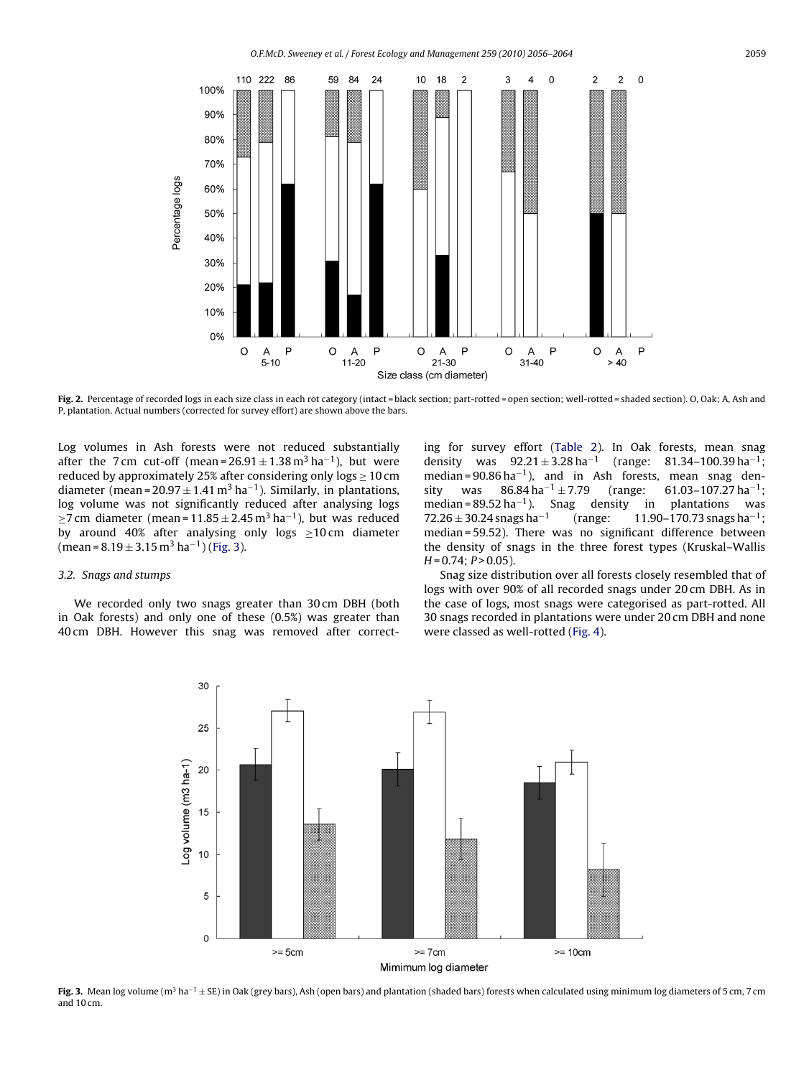<span id="page-3-0"></span>

**Fig. 2.** Percentage of recorded logs in each size class in each rot category (intact = black section; part-rotted = open section; well-rotted = shaded section). O, Oak; A, Ash and P, plantation. Actual numbers (corrected for survey effort) are shown above the bars.

Log volumes in Ash forests were not reduced substantially after the 7 cm cut-off (mean =  $26.91 \pm 1.38$  m<sup>3</sup> ha<sup>-1</sup>), but were reduced by approximately 25% after considering only  $\log s \geq 10$  cm diameter (mean =  $20.97 \pm 1.41$  m<sup>3</sup> ha<sup>-1</sup>). Similarly, in plantations, log volume was not significantly reduced after analysing logs ≥7 cm diameter (mean =  $11.85 \pm 2.45$  m<sup>3</sup> ha<sup>-1</sup>), but was reduced by around 40% after analysing only logs ≥10 cm diameter (mean =  $8.19 \pm 3.15$  m<sup>3</sup> ha<sup>-1</sup>) (Fig. 3).

#### 3.2. Snags and stumps

We recorded only two snags greater than 30 cm DBH (both in Oak forests) and only one of these (0.5%) was greater than 40 cm DBH. However this snag was removed after correcting for survey effort ([Table 2\)](#page-4-0). In Oak forests, mean snag density was  $92.21 \pm 3.28$  ha<sup>-1</sup> (range: 81.34–100.39 ha<sup>-1</sup>; median = 90.86 ha<sup>-1</sup>), and in Ash forests, mean snag den-<br>sity was  $86.84$  ha<sup>-1</sup> ± 7.79 (range: 61.03-107.27 ha<sup>-1</sup>; sity was  $86.84 \text{ ha}^{-1} \pm 7.79$  (range: 61.03–107.27 ha<sup>-1</sup>; median = 89.52 ha<sup>-1</sup>). Snag density in plantations was median = 89.52 ha<sup> $-1$ </sup>). Snag density  $72.26 \pm 30.24$  snags ha<sup>-1</sup> (range: 11.90–170.73 snags ha<sup>-1</sup>; median = 59.52). There was no significant difference between the density of snags in the three forest types (Kruskal–Wallis  $H = 0.74$ ;  $P > 0.05$ ).

Snag size distribution over all forests closely resembled that of logs with over 90% of all recorded snags under 20 cm DBH. As in the case of logs, most snags were categorised as part-rotted. All 30 snags recorded in plantations were under 20 cm DBH and none were classed as well-rotted ([Fig. 4\).](#page-4-0)



**Fig. 3.** Mean log volume (m<sup>3</sup> ha<sup>-1</sup> ± SE) in Oak (grey bars), Ash (open bars) and plantation (shaded bars) forests when calculated using minimum log diameters of 5 cm, 7 cm and 10 cm.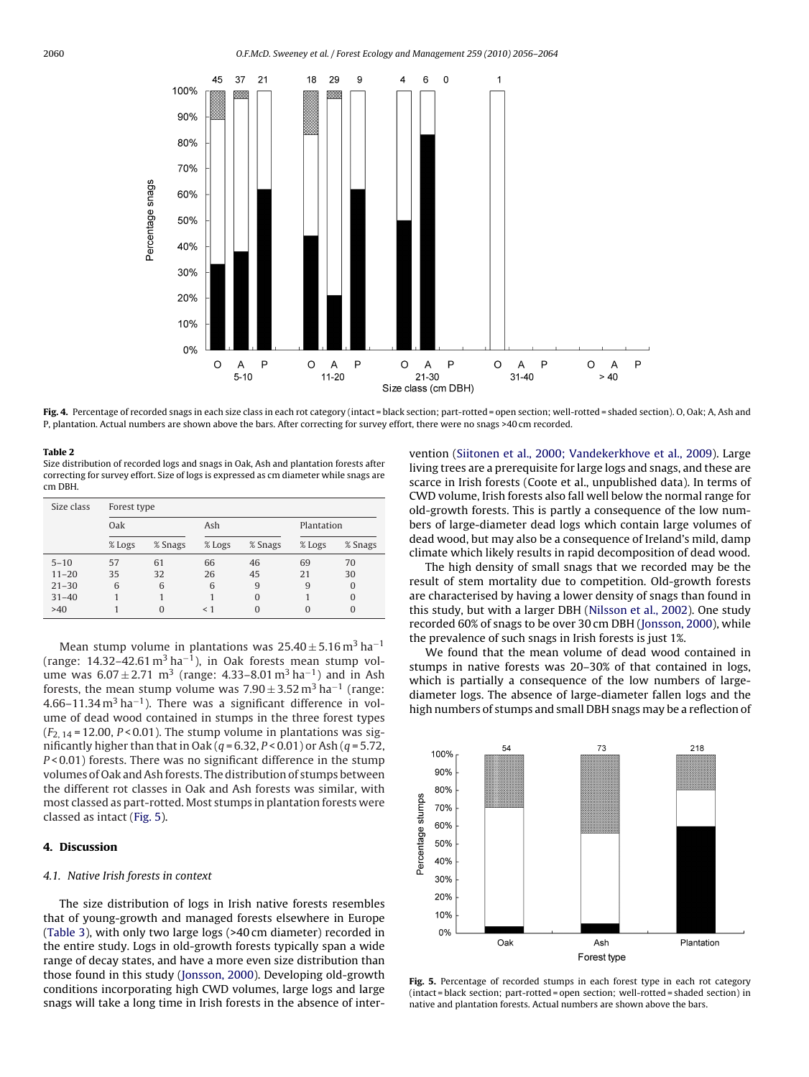<span id="page-4-0"></span>

**Fig. 4.** Percentage of recorded snags in each size class in each rot category (intact = black section; part-rotted = open section; well-rotted = shaded section). O, Oak; A, Ash and P, plantation. Actual numbers are shown above the bars. After correcting for survey effort, there were no snags >40 cm recorded.

#### **Table 2**

Size distribution of recorded logs and snags in Oak, Ash and plantation forests after correcting for survey effort. Size of logs is expressed as cm diameter while snags are cm DBH.

| Size class | Forest type |          |        |          |            |          |
|------------|-------------|----------|--------|----------|------------|----------|
|            | Oak         |          | Ash    |          | Plantation |          |
|            | % Logs      | % Snags  | % Logs | % Snags  | % Logs     | % Snags  |
| $5 - 10$   | 57          | 61       | 66     | 46       | 69         | 70       |
| $11 - 20$  | 35          | 32       | 26     | 45       | 21         | 30       |
| $21 - 30$  | 6           | 6        | 6      | 9        | 9          | $\Omega$ |
| $31 - 40$  |             |          |        | $\Omega$ |            | $\Omega$ |
| >40        |             | $\Omega$ | $<$ 1  | $\Omega$ | $\Omega$   | 0        |

Mean stump volume in plantations was  $25.40 \pm 5.16$  m<sup>3</sup> ha<sup>-1</sup> (range: 14.32–42.61 m<sup>3</sup> ha<sup>-1</sup>), in Oak forests mean stump volume was  $6.07 \pm 2.71$  m<sup>3</sup> (range: 4.33–8.01 m<sup>3</sup> ha<sup>-1</sup>) and in Ash forests, the mean stump volume was  $7.90 \pm 3.52$  m<sup>3</sup> ha<sup>-1</sup> (range: 4.66–11.34 m<sup>3</sup> ha<sup>-1</sup>). There was a significant difference in volume of dead wood contained in stumps in the three forest types  $(F_{2, 14} = 12.00, P < 0.01)$ . The stump volume in plantations was significantly higher than that in Oak ( $q = 6.32$ ,  $P < 0.01$ ) or Ash ( $q = 5.72$ ,  $P < 0.01$ ) forests. There was no significant difference in the stump volumes of Oak and Ash forests. The distribution of stumps between the different rot classes in Oak and Ash forests was similar, with most classed as part-rotted. Most stumps in plantation forests were classed as intact (Fig. 5).

# **4. Discussion**

#### 4.1. Native Irish forests in context

The size distribution of logs in Irish native forests resembles that of young-growth and managed forests elsewhere in Europe ([Table 3\),](#page-5-0) with only two large logs (>40 cm diameter) recorded in the entire study. Logs in old-growth forests typically span a wide range of decay states, and have a more even size distribution than those found in this study ([Jonsson, 2000\).](#page-7-0) Developing old-growth conditions incorporating high CWD volumes, large logs and large snags will take a long time in Irish forests in the absence of intervention [\(Siitonen et al., 2000; Vandekerkhove et al., 2009\).](#page-8-0) Large living trees are a prerequisite for large logs and snags, and these are scarce in Irish forests (Coote et al., unpublished data). In terms of CWD volume, Irish forests also fall well below the normal range for old-growth forests. This is partly a consequence of the low numbers of large-diameter dead logs which contain large volumes of dead wood, but may also be a consequence of Ireland's mild, damp climate which likely results in rapid decomposition of dead wood.

The high density of small snags that we recorded may be the result of stem mortality due to competition. Old-growth forests are characterised by having a lower density of snags than found in this study, but with a larger DBH ([Nilsson et al., 2002\).](#page-7-0) One study recorded 60% of snags to be over 30 cm DBH [\(Jonsson, 2000\),](#page-7-0) while the prevalence of such snags in Irish forests is just 1%.

We found that the mean volume of dead wood contained in stumps in native forests was 20–30% of that contained in logs, which is partially a consequence of the low numbers of largediameter logs. The absence of large-diameter fallen logs and the high numbers of stumps and small DBH snags may be a reflection of



**Fig. 5.** Percentage of recorded stumps in each forest type in each rot category (intact = black section; part-rotted = open section; well-rotted = shaded section) in native and plantation forests. Actual numbers are shown above the bars.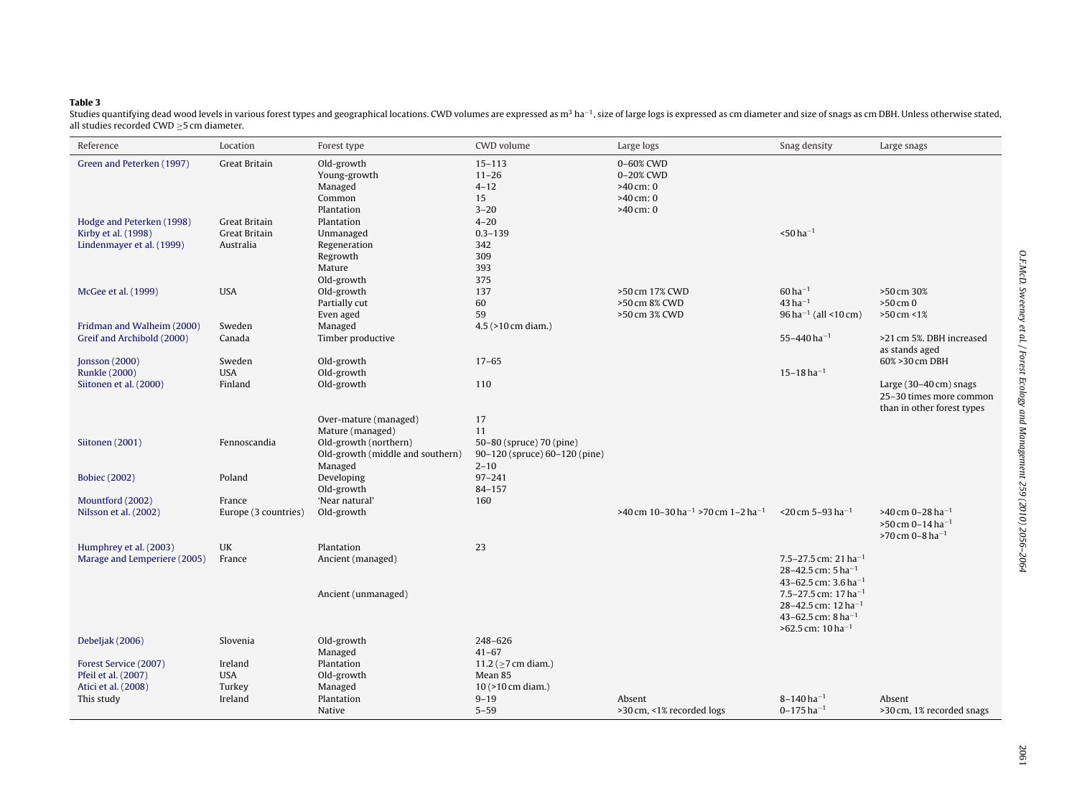# <span id="page-5-0"></span>**Table 3**

| Reference                    | Location             | Forest type                      | CWD volume                    | Large logs                                                      | Snag density                            | Large snags                    |
|------------------------------|----------------------|----------------------------------|-------------------------------|-----------------------------------------------------------------|-----------------------------------------|--------------------------------|
| Green and Peterken (1997)    | Great Britain        | Old-growth                       | $15 - 113$                    | 0-60% CWD                                                       |                                         |                                |
|                              |                      | Young-growth                     | $11 - 26$                     | 0-20% CWD                                                       |                                         |                                |
|                              |                      | Managed                          | $4 - 12$                      | $>40$ cm: 0                                                     |                                         |                                |
|                              |                      | Common                           | 15                            | $>40$ cm: 0                                                     |                                         |                                |
|                              |                      | Plantation                       | $3 - 20$                      | $>40$ cm: 0                                                     |                                         |                                |
| Hodge and Peterken (1998)    | Great Britain        | Plantation                       | $4 - 20$                      |                                                                 |                                         |                                |
| Kirby et al. (1998)          | Great Britain        | Unmanaged                        | $0.3 - 139$                   |                                                                 | $<$ 50 ha $^{-1}$                       |                                |
|                              | Australia            |                                  | 342                           |                                                                 |                                         |                                |
| Lindenmayer et al. (1999)    |                      | Regeneration<br>Regrowth         | 309                           |                                                                 |                                         |                                |
|                              |                      | Mature                           | 393                           |                                                                 |                                         |                                |
|                              |                      | Old-growth                       | 375                           |                                                                 |                                         |                                |
|                              |                      |                                  |                               |                                                                 |                                         |                                |
| McGee et al. (1999)          | <b>USA</b>           | Old-growth                       | 137                           | >50 cm 17% CWD                                                  | $60$ ha <sup>-1</sup>                   | >50 cm 30%                     |
|                              |                      | Partially cut                    | 60                            | >50 cm 8% CWD                                                   | $43$ ha <sup>-1</sup>                   | $>50$ cm $0$                   |
|                              |                      | Even aged                        | 59                            | >50 cm 3% CWD                                                   | $96$ ha <sup>-1</sup> (all <10 cm)      | $>50$ cm <1%                   |
| Fridman and Walheim (2000)   | Sweden               | Managed                          | 4.5 (>10 cm diam.)            |                                                                 |                                         |                                |
| Greif and Archibold (2000)   | Canada               | Timber productive                |                               |                                                                 | $55 - 440$ ha <sup>-1</sup>             | >21 cm 5%. DBH increased       |
|                              |                      |                                  |                               |                                                                 |                                         | as stands aged                 |
| Jonsson (2000)               | Sweden               | Old-growth                       | $17 - 65$                     |                                                                 |                                         | 60% > 30 cm DBH                |
| <b>Runkle (2000)</b>         | <b>USA</b>           | Old-growth                       |                               |                                                                 | $15 - 18$ ha <sup><math>-1</math></sup> |                                |
| Siitonen et al. (2000)       | Finland              | Old-growth                       | 110                           |                                                                 |                                         | Large (30-40 cm) snags         |
|                              |                      |                                  |                               |                                                                 |                                         | 25-30 times more common        |
|                              |                      |                                  |                               |                                                                 |                                         | than in other forest types     |
|                              |                      | Over-mature (managed)            | 17                            |                                                                 |                                         |                                |
|                              |                      | Mature (managed)                 | 11                            |                                                                 |                                         |                                |
| Siitonen (2001)              | Fennoscandia         | Old-growth (northern)            | 50-80 (spruce) 70 (pine)      |                                                                 |                                         |                                |
|                              |                      | Old-growth (middle and southern) | 90-120 (spruce) 60-120 (pine) |                                                                 |                                         |                                |
|                              |                      | Managed                          | $2 - 10$                      |                                                                 |                                         |                                |
| <b>Bobiec (2002)</b>         | Poland               | Developing                       | $97 - 241$                    |                                                                 |                                         |                                |
|                              |                      | Old-growth                       | $84 - 157$                    |                                                                 |                                         |                                |
| Mountford (2002)             | France               | 'Near natural'                   | 160                           |                                                                 |                                         |                                |
| Nilsson et al. (2002)        | Europe (3 countries) | Old-growth                       |                               | $>$ 40 cm 10–30 ha <sup>-1</sup> $>$ 70 cm 1–2 ha <sup>-1</sup> | $<$ 20 cm 5-93 ha <sup>-1</sup>         | $>40$ cm 0-28 ha <sup>-1</sup> |
|                              |                      |                                  |                               |                                                                 |                                         | $>50$ cm 0-14 ha <sup>-1</sup> |
|                              |                      |                                  |                               |                                                                 |                                         | $>70$ cm 0-8 ha <sup>-1</sup>  |
| Humphrey et al. (2003)       | UK                   | Plantation                       | 23                            |                                                                 |                                         |                                |
| Marage and Lemperiere (2005) | France               | Ancient (managed)                |                               |                                                                 | 7.5-27.5 cm: 21 ha <sup>-1</sup>        |                                |
|                              |                      |                                  |                               |                                                                 | 28-42.5 cm: $5$ ha <sup>-1</sup>        |                                |
|                              |                      |                                  |                               |                                                                 | 43-62.5 cm: 3.6 ha <sup>-1</sup>        |                                |
|                              |                      | Ancient (unmanaged)              |                               |                                                                 | 7.5-27.5 cm: 17 ha <sup>-1</sup>        |                                |
|                              |                      |                                  |                               |                                                                 | 28-42.5 cm: $12$ ha <sup>-1</sup>       |                                |
|                              |                      |                                  |                               |                                                                 | 43-62.5 cm: 8 ha <sup>-1</sup>          |                                |
|                              |                      |                                  |                               |                                                                 | $>62.5$ cm: 10 ha <sup>-1</sup>         |                                |
| Debeljak (2006)              | Slovenia             | Old-growth                       | 248-626                       |                                                                 |                                         |                                |
|                              |                      | Managed                          | $41 - 67$                     |                                                                 |                                         |                                |
| Forest Service (2007)        | Ireland              | Plantation                       | 11.2 ( $\geq$ 7 cm diam.)     |                                                                 |                                         |                                |
| Pfeil et al. (2007)          | <b>USA</b>           | Old-growth                       | Mean 85                       |                                                                 |                                         |                                |
| Atici et al. (2008)          | Turkey               | Managed                          | $10$ ( $>10$ cm diam.)        |                                                                 |                                         |                                |
|                              | Ireland              | Plantation                       | $9 - 19$                      | Absent                                                          | $8-140$ ha <sup>-1</sup>                | Absent                         |
| This study                   |                      |                                  |                               |                                                                 |                                         |                                |
|                              |                      | Native                           | $5 - 59$                      | >30 cm, <1% recorded logs                                       | $0 - 175$ ha <sup>-1</sup>              | >30 cm, 1% recorded snags      |

Studies quantifying dead wood levels in various forest types and geographical locations. CWD volumes are expressed as m<sup>3</sup> ha<sup>-1</sup>, size of large logs is expressed as cm diameter and size of snags as cm DBH. Unless otherwis all studies recorded CWD ≥5 cm diameter.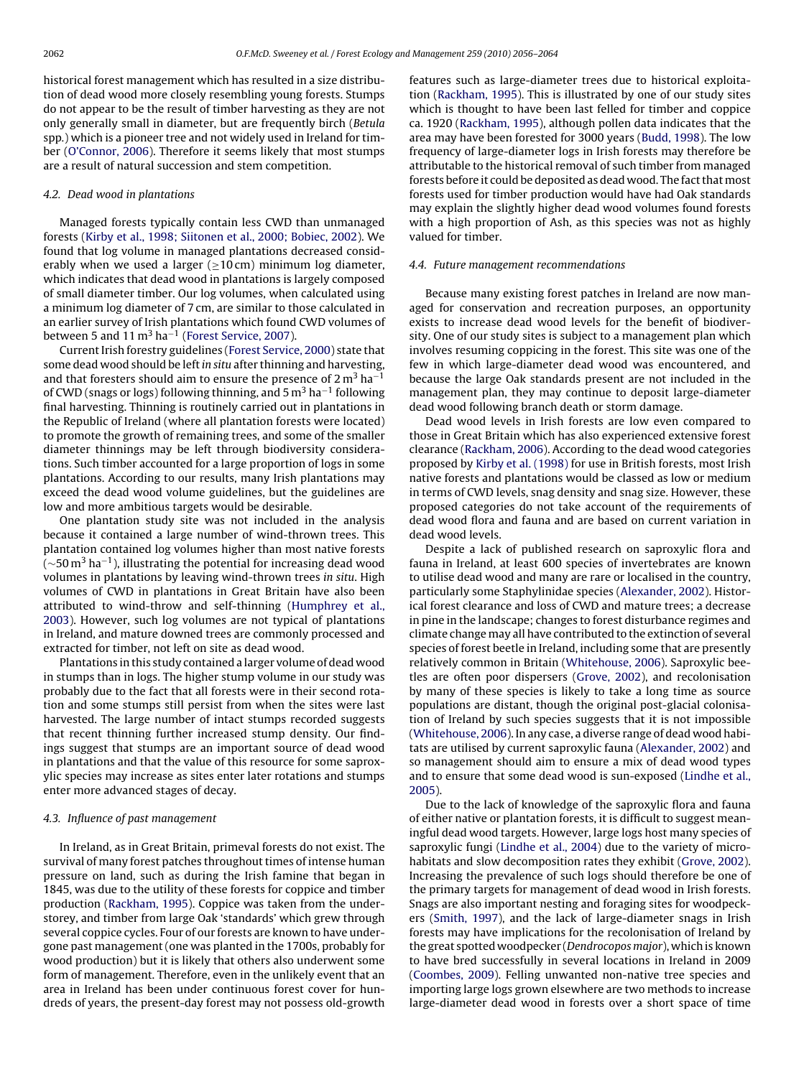historical forest management which has resulted in a size distribution of dead wood more closely resembling young forests. Stumps do not appear to be the result of timber harvesting as they are not only generally small in diameter, but are frequently birch (Betula spp.) which is a pioneer tree and not widely used in Ireland for timber [\(O'Connor, 2006\).](#page-7-0) Therefore it seems likely that most stumps are a result of natural succession and stem competition.

#### 4.2. Dead wood in plantations

Managed forests typically contain less CWD than unmanaged forests [\(Kirby et al., 1998; Siitonen et al., 2000; Bobiec, 2002\).](#page-7-0) We found that log volume in managed plantations decreased considerably when we used a larger ( $\geq 10$  cm) minimum log diameter, which indicates that dead wood in plantations is largely composed of small diameter timber. Our log volumes, when calculated using a minimum log diameter of 7 cm, are similar to those calculated in an earlier survey of Irish plantations which found CWD volumes of between 5 and 11  $m<sup>3</sup>$  ha<sup>-1</sup> ([Forest Service, 2007\).](#page-7-0)

Current Irish forestry guidelines [\(Forest Service, 2000\) s](#page-7-0)tate that some dead wood should be left in situ after thinning and harvesting, and that foresters should aim to ensure the presence of  $2 \text{ m}^3$  ha<sup>-1</sup> of CWD (snags or logs) following thinning, and  $5 \text{ m}^3$  ha $^{-1}$  following final harvesting. Thinning is routinely carried out in plantations in the Republic of Ireland (where all plantation forests were located) to promote the growth of remaining trees, and some of the smaller diameter thinnings may be left through biodiversity considerations. Such timber accounted for a large proportion of logs in some plantations. According to our results, many Irish plantations may exceed the dead wood volume guidelines, but the guidelines are low and more ambitious targets would be desirable.

One plantation study site was not included in the analysis because it contained a large number of wind-thrown trees. This plantation contained log volumes higher than most native forests  $(\sim 50 \,\mathrm{m}^3 \,\mathrm{ha}^{-1})$ , illustrating the potential for increasing dead wood volumes in plantations by leaving wind-thrown trees in situ. High volumes of CWD in plantations in Great Britain have also been attributed to wind-throw and self-thinning ([Humphrey et al.,](#page-7-0) [2003\).](#page-7-0) However, such log volumes are not typical of plantations in Ireland, and mature downed trees are commonly processed and extracted for timber, not left on site as dead wood.

Plantations in this study contained a larger volume of dead wood in stumps than in logs. The higher stump volume in our study was probably due to the fact that all forests were in their second rotation and some stumps still persist from when the sites were last harvested. The large number of intact stumps recorded suggests that recent thinning further increased stump density. Our findings suggest that stumps are an important source of dead wood in plantations and that the value of this resource for some saproxylic species may increase as sites enter later rotations and stumps enter more advanced stages of decay.

# 4.3. Influence of past management

In Ireland, as in Great Britain, primeval forests do not exist. The survival of many forest patches throughout times of intense human pressure on land, such as during the Irish famine that began in 1845, was due to the utility of these forests for coppice and timber production ([Rackham, 1995\).](#page-8-0) Coppice was taken from the understorey, and timber from large Oak 'standards' which grew through several coppice cycles. Four of our forests are known to have undergone past management (one was planted in the 1700s, probably for wood production) but it is likely that others also underwent some form of management. Therefore, even in the unlikely event that an area in Ireland has been under continuous forest cover for hundreds of years, the present-day forest may not possess old-growth

features such as large-diameter trees due to historical exploitation [\(Rackham, 1995\).](#page-8-0) This is illustrated by one of our study sites which is thought to have been last felled for timber and coppice ca. 1920 ([Rackham, 1995\),](#page-8-0) although pollen data indicates that the area may have been forested for 3000 years [\(Budd, 1998\).](#page-7-0) The low frequency of large-diameter logs in Irish forests may therefore be attributable to the historical removal of such timber from managed forests before it could be deposited as dead wood. The fact that most forests used for timber production would have had Oak standards may explain the slightly higher dead wood volumes found forests with a high proportion of Ash, as this species was not as highly valued for timber.

### 4.4. Future management recommendations

Because many existing forest patches in Ireland are now managed for conservation and recreation purposes, an opportunity exists to increase dead wood levels for the benefit of biodiversity. One of our study sites is subject to a management plan which involves resuming coppicing in the forest. This site was one of the few in which large-diameter dead wood was encountered, and because the large Oak standards present are not included in the management plan, they may continue to deposit large-diameter dead wood following branch death or storm damage.

Dead wood levels in Irish forests are low even compared to those in Great Britain which has also experienced extensive forest clearance [\(Rackham, 2006\).](#page-8-0) According to the dead wood categories proposed by [Kirby et al. \(1998\)](#page-7-0) for use in British forests, most Irish native forests and plantations would be classed as low or medium in terms of CWD levels, snag density and snag size. However, these proposed categories do not take account of the requirements of dead wood flora and fauna and are based on current variation in dead wood levels.

Despite a lack of published research on saproxylic flora and fauna in Ireland, at least 600 species of invertebrates are known to utilise dead wood and many are rare or localised in the country, particularly some Staphylinidae species [\(Alexander, 2002\).](#page-7-0) Historical forest clearance and loss of CWD and mature trees; a decrease in pine in the landscape; changes to forest disturbance regimes and climate change may all have contributed to the extinction of several species of forest beetle in Ireland, including some that are presently relatively common in Britain ([Whitehouse, 2006\).](#page-8-0) Saproxylic beetles are often poor dispersers ([Grove, 2002\),](#page-7-0) and recolonisation by many of these species is likely to take a long time as source populations are distant, though the original post-glacial colonisation of Ireland by such species suggests that it is not impossible [\(Whitehouse, 2006\).](#page-8-0) In any case, a diverse range of dead wood habitats are utilised by current saproxylic fauna ([Alexander, 2002\) a](#page-7-0)nd so management should aim to ensure a mix of dead wood types and to ensure that some dead wood is sun-exposed [\(Lindhe et al.,](#page-7-0) [2005\).](#page-7-0)

Due to the lack of knowledge of the saproxylic flora and fauna of either native or plantation forests, it is difficult to suggest meaningful dead wood targets. However, large logs host many species of saproxylic fungi ([Lindhe et al., 2004\)](#page-7-0) due to the variety of microhabitats and slow decomposition rates they exhibit ([Grove, 2002\).](#page-7-0) Increasing the prevalence of such logs should therefore be one of the primary targets for management of dead wood in Irish forests. Snags are also important nesting and foraging sites for woodpeckers ([Smith, 1997\),](#page-8-0) and the lack of large-diameter snags in Irish forests may have implications for the recolonisation of Ireland by the great spotted woodpecker (Dendrocopos major), which is known to have bred successfully in several locations in Ireland in 2009 [\(Coombes, 2009\).](#page-7-0) Felling unwanted non-native tree species and importing large logs grown elsewhere are two methods to increase large-diameter dead wood in forests over a short space of time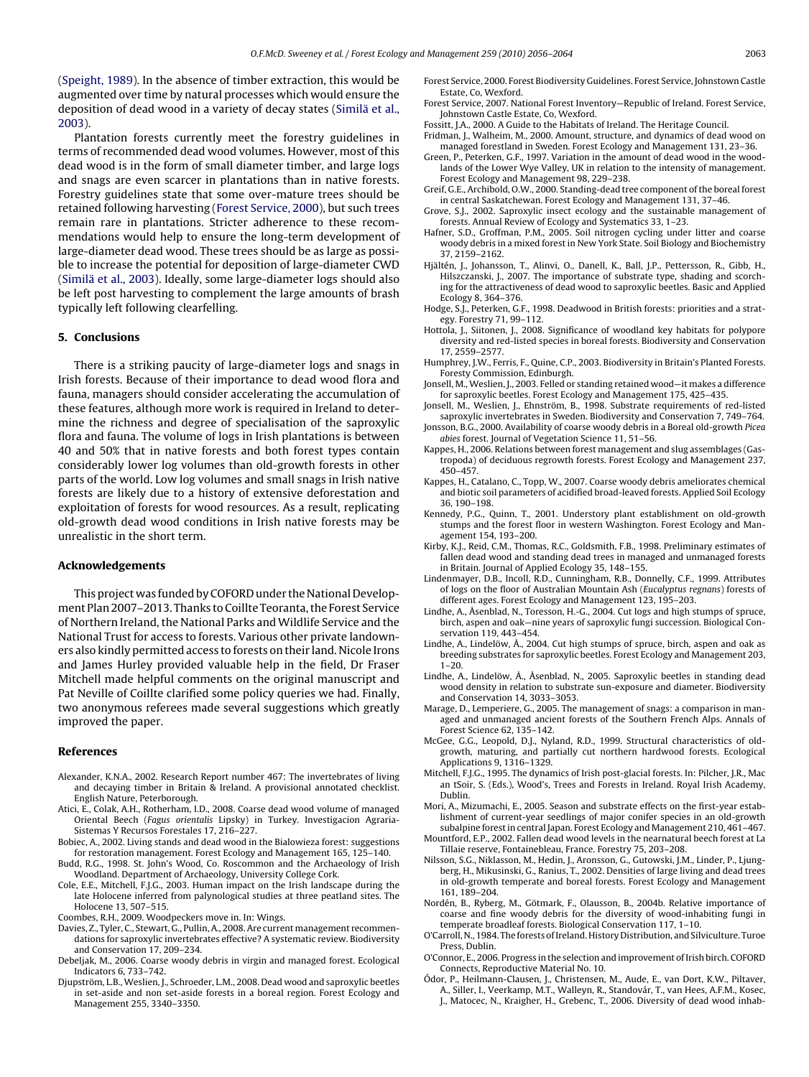<span id="page-7-0"></span>([Speight, 1989\).](#page-8-0) In the absence of timber extraction, this would be augmented over time by natural processes which would ensure the deposition of dead wood in a variety of decay states ([Similä et al.,](#page-8-0) [2003\).](#page-8-0)

Plantation forests currently meet the forestry guidelines in terms of recommended dead wood volumes. However, most of this dead wood is in the form of small diameter timber, and large logs and snags are even scarcer in plantations than in native forests. Forestry guidelines state that some over-mature trees should be retained following harvesting (Forest Service, 2000), but such trees remain rare in plantations. Stricter adherence to these recommendations would help to ensure the long-term development of large-diameter dead wood. These trees should be as large as possible to increase the potential for deposition of large-diameter CWD ([Similä et al., 2003\).](#page-8-0) Ideally, some large-diameter logs should also be left post harvesting to complement the large amounts of brash typically left following clearfelling.

## **5. Conclusions**

There is a striking paucity of large-diameter logs and snags in Irish forests. Because of their importance to dead wood flora and fauna, managers should consider accelerating the accumulation of these features, although more work is required in Ireland to determine the richness and degree of specialisation of the saproxylic flora and fauna. The volume of logs in Irish plantations is between 40 and 50% that in native forests and both forest types contain considerably lower log volumes than old-growth forests in other parts of the world. Low log volumes and small snags in Irish native forests are likely due to a history of extensive deforestation and exploitation of forests for wood resources. As a result, replicating old-growth dead wood conditions in Irish native forests may be unrealistic in the short term.

#### **Acknowledgements**

This project was funded by COFORD under the National Development Plan 2007–2013. Thanks to Coillte Teoranta, the Forest Service of Northern Ireland, the National Parks and Wildlife Service and the National Trust for access to forests. Various other private landowners also kindly permitted access to forests on their land. Nicole Irons and James Hurley provided valuable help in the field, Dr Fraser Mitchell made helpful comments on the original manuscript and Pat Neville of Coillte clarified some policy queries we had. Finally, two anonymous referees made several suggestions which greatly improved the paper.

#### **References**

- Alexander, K.N.A., 2002. Research Report number 467: The invertebrates of living and decaying timber in Britain & Ireland. A provisional annotated checklist. English Nature, Peterborough.
- Atici, E., Colak, A.H., Rotherham, I.D., 2008. Coarse dead wood volume of managed Oriental Beech (Fagus orientalis Lipsky) in Turkey. Investigacion Agraria-Sistemas Y Recursos Forestales 17, 216–227.
- Bobiec, A., 2002. Living stands and dead wood in the Bialowieza forest: suggestions for restoration management. Forest Ecology and Management 165, 125–140.
- Budd, R.G., 1998. St. John's Wood, Co. Roscommon and the Archaeology of Irish Woodland. Department of Archaeology, University College Cork.
- Cole, E.E., Mitchell, F.J.G., 2003. Human impact on the Irish landscape during the late Holocene inferred from palynological studies at three peatland sites. The Holocene 13, 507–515.
- Coombes, R.H., 2009. Woodpeckers move in. In: Wings.
- Davies, Z., Tyler, C., Stewart, G., Pullin, A., 2008. Are current management recommendations for saproxylic invertebrates effective? A systematic review. Biodiversity and Conservation 17, 209–234.
- Debeljak, M., 2006. Coarse woody debris in virgin and managed forest. Ecological Indicators 6, 733–742.
- Djupström, L.B., Weslien, J., Schroeder, L.M., 2008. Dead wood and saproxylic beetles in set-aside and non set-aside forests in a boreal region. Forest Ecology and Management 255, 3340–3350.
- Forest Service, 2000. Forest Biodiversity Guidelines. Forest Service, Johnstown Castle Estate, Co, Wexford.
- Forest Service, 2007. National Forest Inventory—Republic of Ireland. Forest Service, Johnstown Castle Estate, Co, Wexford.
- Fossitt, J.A., 2000. A Guide to the Habitats of Ireland. The Heritage Council.
- Fridman, J., Walheim, M., 2000. Amount, structure, and dynamics of dead wood on managed forestland in Sweden. Forest Ecology and Management 131, 23–36.
- Green, P., Peterken, G.F., 1997. Variation in the amount of dead wood in the woodlands of the Lower Wye Valley, UK in relation to the intensity of management. Forest Ecology and Management 98, 229–238.
- Greif, G.E., Archibold, O.W., 2000. Standing-dead tree component of the boreal forest in central Saskatchewan. Forest Ecology and Management 131, 37–46.
- Grove, S.J., 2002. Saproxylic insect ecology and the sustainable management of forests. Annual Review of Ecology and Systematics 33, 1–23.
- Hafner, S.D., Groffman, P.M., 2005. Soil nitrogen cycling under litter and coarse woody debris in a mixed forest in New York State. Soil Biology and Biochemistry 37, 2159–2162.
- Hjältén, J., Johansson, T., Alinvi, O., Danell, K., Ball, J.P., Pettersson, R., Gibb, H., Hilszczanski, J., 2007. The importance of substrate type, shading and scorching for the attractiveness of dead wood to saproxylic beetles. Basic and Applied Ecology 8, 364–376.
- Hodge, S.J., Peterken, G.F., 1998. Deadwood in British forests: priorities and a strategy. Forestry 71, 99–112.
- Hottola, J., Siitonen, J., 2008. Significance of woodland key habitats for polypore diversity and red-listed species in boreal forests. Biodiversity and Conservation 17, 2559–2577.
- Humphrey, J.W., Ferris, F., Quine, C.P., 2003. Biodiversity in Britain's Planted Forests. Foresty Commission, Edinburgh.
- Jonsell, M., Weslien, J., 2003. Felled or standing retained wood—it makes a difference for saproxylic beetles. Forest Ecology and Management 175, 425–435.
- Jonsell, M., Weslien, J., Ehnström, B., 1998. Substrate requirements of red-listed saproxylic invertebrates in Sweden. Biodiversity and Conservation 7, 749–764. Jonsson, B.G., 2000. Availability of coarse woody debris in a Boreal old-growth Picea
- abies forest. Journal of Vegetation Science 11, 51–56. Kappes, H., 2006. Relations between forest management and slug assemblages (Gas-
- tropoda) of deciduous regrowth forests. Forest Ecology and Management 237,  $450 - 457$
- Kappes, H., Catalano, C., Topp, W., 2007. Coarse woody debris ameliorates chemical and biotic soil parameters of acidified broad-leaved forests. Applied Soil Ecology 36, 190–198.
- Kennedy, P.G., Quinn, T., 2001. Understory plant establishment on old-growth stumps and the forest floor in western Washington. Forest Ecology and Management 154, 193–200.
- Kirby, K.J., Reid, C.M., Thomas, R.C., Goldsmith, F.B., 1998. Preliminary estimates of fallen dead wood and standing dead trees in managed and unmanaged forests in Britain. Journal of Applied Ecology 35, 148–155.
- Lindenmayer, D.B., Incoll, R.D., Cunningham, R.B., Donnelly, C.F., 1999. Attributes of logs on the floor of Australian Mountain Ash (Eucalyptus regnans) forests of different ages. Forest Ecology and Management 123, 195–203.
- Lindhe, A., Åsenblad, N., Toresson, H.-G., 2004. Cut logs and high stumps of spruce, birch, aspen and oak—nine years of saproxylic fungi succession. Biological Conservation 119, 443–454.
- Lindhe, A., Lindelöw, Å., 2004. Cut high stumps of spruce, birch, aspen and oak as breeding substrates for saproxylic beetles. Forest Ecology and Management 203, 1–20.
- Lindhe, A., Lindelöw, Å., Åsenblad, N., 2005. Saproxylic beetles in standing dead wood density in relation to substrate sun-exposure and diameter. Biodiversity and Conservation 14, 3033–3053.
- Marage, D., Lemperiere, G., 2005. The management of snags: a comparison in managed and unmanaged ancient forests of the Southern French Alps. Annals of Forest Science 62, 135–142.
- McGee, G.G., Leopold, D.J., Nyland, R.D., 1999. Structural characteristics of oldgrowth, maturing, and partially cut northern hardwood forests. Ecological Applications 9, 1316–1329.
- Mitchell, F.J.G., 1995. The dynamics of Irish post-glacial forests. In: Pilcher, J.R., Mac an tSoir, S. (Eds.), Wood's, Trees and Forests in Ireland. Royal Irish Academy, Dublin.
- Mori, A., Mizumachi, E., 2005. Season and substrate effects on the first-year establishment of current-year seedlings of major conifer species in an old-growth subalpine forest in central Japan. Forest Ecology and Management 210, 461–467.
- Mountford, E.P., 2002. Fallen dead wood levels in the nearnatural beech forest at La Tillaie reserve, Fontainebleau, France. Forestry 75, 203–208.
- Nilsson, S.G., Niklasson, M., Hedin, J., Aronsson, G., Gutowski, J.M., Linder, P., Ljungberg, H., Mikusinski, G., Ranius, T., 2002. Densities of large living and dead trees in old-growth temperate and boreal forests. Forest Ecology and Management 161, 189–204.
- Nordén, B., Ryberg, M., Götmark, F., Olausson, B., 2004b. Relative importance of coarse and fine woody debris for the diversity of wood-inhabiting fungi in temperate broadleaf forests. Biological Conservation 117, 1–10.
- O'Carroll, N., 1984. The forests of Ireland. History Distribution, and Silviculture. Turoe Press, Dublin.
- O'Connor, E., 2006. Progress in the selection and improvement of Irish birch. COFORD Connects, Reproductive Material No. 10.
- Ódor, P., Heilmann-Clausen, J., Christensen, M., Aude, E., van Dort, K.W., Piltaver, A., Siller, I., Veerkamp, M.T., Walleyn, R., Standovár, T., van Hees, A.F.M., Kosec, J., Matocec, N., Kraigher, H., Grebenc, T., 2006. Diversity of dead wood inhab-